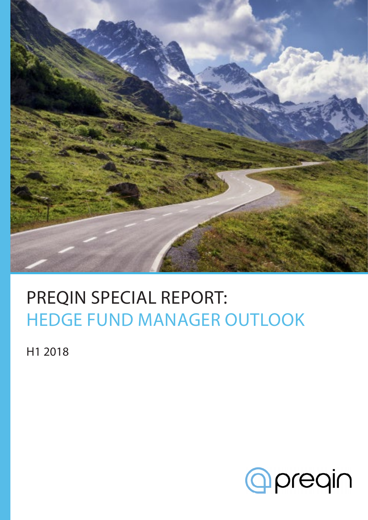

### PREQIN SPECIAL REPORT: HEDGE FUND MANAGER OUTLOOK

H1 2018

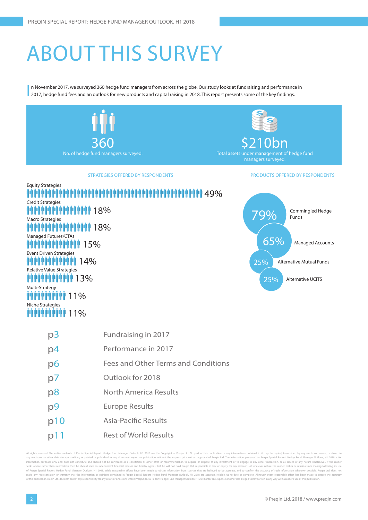## ABOUT THIS SURVEY

I n November 2017, we surveyed 360 hedge fund managers from across the globe. Our study looks at fundraising and performance in 2017, hedge fund fees and an outlook for new products and capital raising in 2018. This report presents some of the key findings.



tire contents of Pregin Special Report: Hedge Fund Manager Outlook. H1 2018 are the Copyright of Pregin Itd. No part of this publication or any information contained in it may be copied, transmitted by any electronic means any electronic or other data storage medium, or printed or published in any document, report or publication, without the express prior written approval of Preqin Ltd. The information presented in Preqin Special Report: Hed information purposes only and does not constitute and should not be construed as a solicitation or other offer, or recommendation to acquire or dispose of any investment or to engage in any other transaction, or as advice tion then he should seek an independent financial advisor and hereby agrees that he will not hold Preqin Ltd. responsible in law or equity for any decisions of whatever nature the reader makes or refrains from making foll of Pregin Special Report: Hedge Fund Manager Outlook, H1 2018. While reasonable efforts have been made to obtain information from sources that are believed to be accurate, and to confirm the accuracy of such information wh e any representation or warranty that the information or opinions contained in Preqin Special Report: Hedge Fund Manager Outlook, H1 2018 are accurate, reliable, up-to-date or complete. Although every reasonable effort has of this publication Pregin I td. does not accept any responsibility for any errors or omissions within Pregin Special Report: Hedge Fund Manager Outlook. H12018 or for any expense or other loss alleged to have arisen in an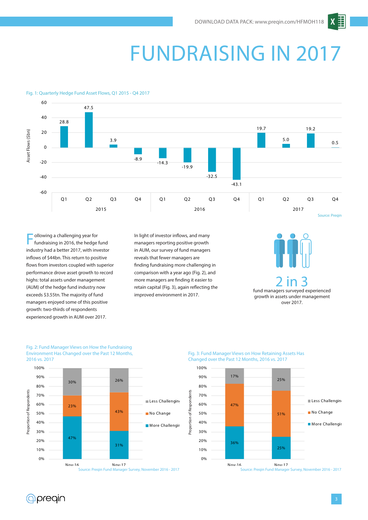$\boldsymbol{X}$ 

### FUNDRAISING IN 2017

#### Fig. 1: Quarterly Hedge Fund Asset Flows, Q1 2015 - Q4 2017



ollowing a challenging year for fundraising in 2016, the hedge fund industry had a better 2017, with investor inflows of \$44bn. This return to positive flows from investors coupled with superior performance drove asset growth to record highs: total assets under management (AUM) of the hedge fund industry now exceeds \$3.55tn. The majority of fund managers enjoyed some of this positive growth: two-thirds of respondents experienced growth in AUM over 2017.

In light of investor inflows, and many managers reporting positive growth in AUM, our survey of fund managers reveals that fewer managers are finding fundraising more challenging in comparison with a year ago (Fig. 2), and more managers are finding it easier to retain capital (Fig. 3), again reflecting the improved environment in 2017.



#### Fig. 2: Fund Manager Views on How the Fundraising Environment Has Changed over the Past 12 Months, 2016 vs. 2017



Fig. 3: Fund Manager Views on How Retaining Assets Has Changed over the Past 12 Months, 2016 vs. 2017



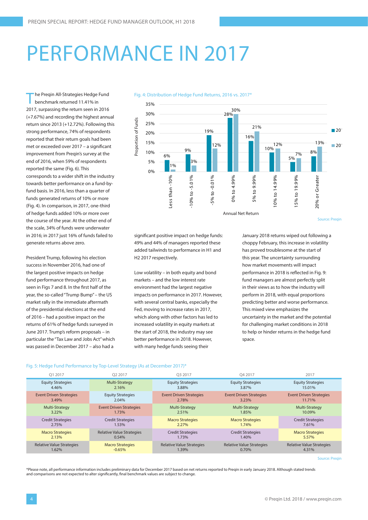### PERFORMANCE IN 2017

he Preqin All-Strategies Hedge Fund benchmark returned 11.41% in 2017, surpassing the return seen in 2016 (+7.67%) and recording the highest annual return since 2013 (+12.72%). Following this strong performance, 74% of respondents reported that their return goals had been met or exceeded over 2017 – a significant improvement from Preqin's survey at the end of 2016, when 59% of respondents reported the same (Fig. 6). This corresponds to a wider shift in the industry towards better performance on a fund-byfund basis. In 2016, less than a quarter of funds generated returns of 10% or more (Fig. 4). In comparison, in 2017, one-third of hedge funds added 10% or more over the course of the year. At the other end of the scale, 34% of funds were underwater in 2016; in 2017 just 16% of funds failed to generate returns above zero.

President Trump, following his election success in November 2016, had one of the largest positive impacts on hedge fund performance throughout 2017, as seen in Figs 7 and 8. In the first half of the year, the so-called "Trump Bump" – the US market rally in the immediate aftermath of the presidential elections at the end of 2016 – had a positive impact on the returns of 61% of hedge funds surveyed in June 2017. Trump's reform proposals – in particular the "Tax Law and Jobs Act" which was passed in December 2017 – also had a



Source: Preqin

significant positive impact on hedge funds: 49% and 44% of managers reported these added tailwinds to performance in H1 and H2 2017 respectively.

Fig. 4: Distribution of Hedge Fund Returns, 2016 vs. 2017\*

Low volatility – in both equity and bond markets – and the low interest rate environment had the largest negative impacts on performance in 2017. However, with several central banks, especially the Fed, moving to increase rates in 2017, which along with other factors has led to increased volatility in equity markets at the start of 2018, the industry may see better performance in 2018. However, with many hedge funds seeing their

January 2018 returns wiped out following a choppy February, this increase in volatility has proved troublesome at the start of this year. The uncertainty surrounding how market movements will impact performance in 2018 is reflected in Fig. 9: fund managers are almost perfectly split in their views as to how the industry will perform in 2018, with equal proportions predicting better and worse performance. This mixed view emphasizes the uncertainty in the market and the potential for challenging market conditions in 2018 to help or hinder returns in the hedge fund space.

#### Fig. 5: Hedge Fund Performance by Top-Level Strategy (As at December 2017)\*

| 01 2017                          | O <sub>2</sub> 2017              | O3 2017                          | O4 2017                          | 2017                             |
|----------------------------------|----------------------------------|----------------------------------|----------------------------------|----------------------------------|
| <b>Equity Strategies</b>         | Multi-Strategy                   | <b>Equity Strategies</b>         | <b>Equity Strategies</b>         | <b>Equity Strategies</b>         |
| 4.46%                            | 2.16%                            | 3.88%                            | 3.87%                            | 15.01%                           |
| <b>Event Driven Strategies</b>   | <b>Equity Strategies</b>         | <b>Event Driven Strategies</b>   | <b>Event Driven Strategies</b>   | <b>Event Driven Strategies</b>   |
| $3.49\%$                         | $2.04\%$                         | 2.78%                            | 3.23%                            | 11.71%                           |
| Multi-Strategy                   | <b>Event Driven Strategies</b>   | Multi-Strategy                   | Multi-Strategy                   | Multi-Strategy                   |
| $3.22\%$                         | 1.73%                            | 2.51%                            | 1.85%                            | 10.09%                           |
| <b>Credit Strategies</b>         | <b>Credit Strategies</b>         | <b>Macro Strategies</b>          | <b>Macro Strategies</b>          | <b>Credit Strategies</b>         |
| 2.75%                            | 1.53%                            | 2.27%                            | 1.74%                            | 7.61%                            |
| <b>Macro Strategies</b>          | <b>Relative Value Strategies</b> | <b>Credit Strategies</b>         | <b>Credit Strategies</b>         | <b>Macro Strategies</b>          |
| 2.13%                            | 0.54%                            | 1.73%                            | 1.40%                            | 5.57%                            |
| <b>Relative Value Strategies</b> | <b>Macro Strategies</b>          | <b>Relative Value Strategies</b> | <b>Relative Value Strategies</b> | <b>Relative Value Strategies</b> |
| 1.62%                            | $-0.65%$                         | 1.39%                            | 0.70%                            | 4.31%                            |

Source: Preqin

\*Please note, all performance information includes preliminary data for December 2017 based on net returns reported to Preqin in early January 2018. Although stated trends and comparisons are not expected to alter significantly, final benchmark values are subject to change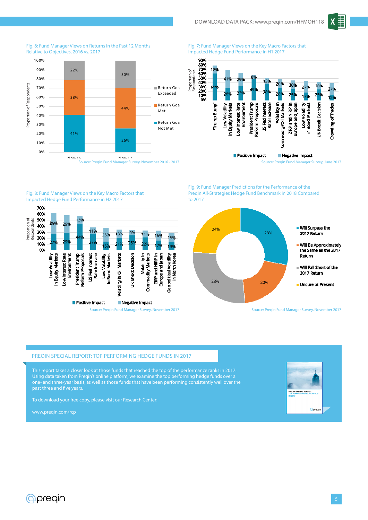



Fig. 6: Fund Manager Views on Returns in the Past 12 Months Relative to Objectives, 2016 vs. 2017

Fig. 8: Fund Manager Views on the Key Macro Factors that

US Fed Interest<br>Rate Increase

Positive Impact

Low Volatility<br>In Bond Markets

/olatility in Oil Markets

Impacted Hedge Fund Performance in H2 2017

Fig. 7: Fund Manager Views on the Key Macro Factors that Impacted Hedge Fund Performance in H1 2017



Preqin All-Strategies Hedge Fund Benchmark in 2018 Compared to 2017



Source: Preqin Fund Manager Survey, November 2017

#### PREQIN SPECIAL REPORT: TOP PERFORMING HEDGE FUNDS IN 2017

This report takes a closer look at those funds that reached the top of the performance ranks in 2017. Using data taken from Preqin's online platform, we examine the top performing hedge funds over a one- and three-year basis, as well as those funds that have been performing consistently well over the past three and five years.

Source: Preqin Fund Manager Survey, November 2017

Negative Impact

UK Brext Decision

Volatility in

**Commodity Markets** 

ZIRP and NIRP in

Europe and Japan

North Korea

Ξ

seopolitical Volatility

To download your free copy, please visit our Research Center:

www.preqin.com/rcp

Proportion of Respondents

Proportion of<br>Respondents

70% 60%

50%

40%

30%

20% 10%

œ

 $250$ 

In Equity Markets Low Interest Rate Environment President Trump Reform Proposals

Low Volatility



Fig. 9: Fund Manager Predictions for the Performance of the

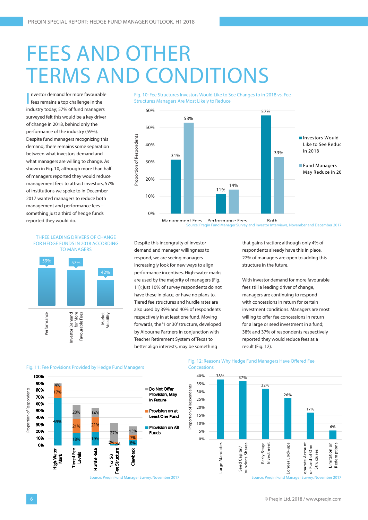### FEES AND OTHER TERMS AND CONDITIONS

I nvestor demand for more favourable fees remains a top challenge in the industry today; 57% of fund managers surveyed felt this would be a key driver of change in 2018, behind only the performance of the industry (59%). Despite fund managers recognizing this demand, there remains some separation between what investors demand and what managers are willing to change. As shown in Fig. 10, although more than half of managers reported they would reduce management fees to attract investors, 57% of institutions we spoke to in December 2017 wanted managers to reduce both management and performance fees – something just a third of hedge funds reported they would do.



Fig. 10: Fee Structures Investors Would Like to See Changes to in 2018 vs. Fee

THREE LEADING DRIVERS OF CHANGE FOR HEDGE FUNDS IN 2018 ACCORDING TO MANAGERS



Despite this incongruity of investor demand and manager willingness to respond, we are seeing managers increasingly look for new ways to align performance incentives. High-water marks are used by the majority of managers (Fig. 11); just 10% of survey respondents do not have these in place, or have no plans to. Tiered fee structures and hurdle rates are also used by 39% and 40% of respondents respectively in at least one fund. Moving forwards, the '1 or 30' structure, developed by Albourne Partners in conjunction with Teacher Retirement System of Texas to better align interests, may be something

that gains traction; although only 4% of respondents already have this in place, 27% of managers are open to adding this structure in the future.

With investor demand for more favourable fees still a leading driver of change, managers are continuing to respond with concessions in return for certain investment conditions. Managers are most willing to offer fee concessions in return for a large or seed investment in a fund; 38% and 37% of respondents respectively reported they would reduce fees as a result (Fig. 12).



#### Fig. 12: Reasons Why Hedge Fund Managers Have Offered Fee **Concessions**



Source: Pregin Fund Manager Survey, November 2017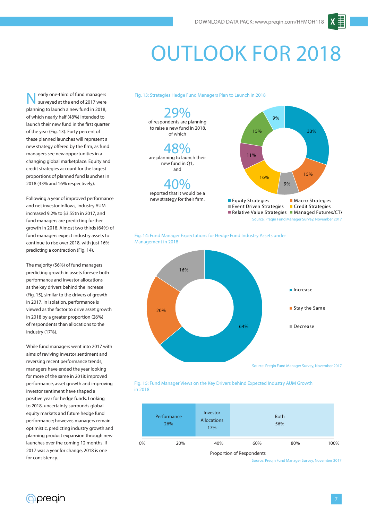### OUTLOOK FOR 2018

early one-third of fund managers surveyed at the end of 2017 were planning to launch a new fund in 2018, of which nearly half (48%) intended to launch their new fund in the first quarter of the year (Fig. 13). Forty percent of these planned launches will represent a new strategy offered by the firm, as fund managers see new opportunities in a changing global marketplace. Equity and credit strategies account for the largest proportions of planned fund launches in 2018 (33% and 16% respectively).

Following a year of improved performance and net investor inflows, industry AUM increased 9.2% to \$3.55tn in 2017, and fund managers are predicting further growth in 2018. Almost two thirds (64%) of fund managers expect industry assets to continue to rise over 2018, with just 16% predicting a contraction (Fig. 14).

The majority (56%) of fund managers predicting growth in assets foresee both performance and investor allocations as the key drivers behind the increase (Fig. 15), similar to the drivers of growth in 2017. In isolation, performance is viewed as the factor to drive asset growth in 2018 by a greater proportion (26%) of respondents than allocations to the industry (17%).

While fund managers went into 2017 with aims of reviving investor sentiment and reversing recent performance trends, managers have ended the year looking for more of the same in 2018: improved performance, asset growth and improving investor sentiment have shaped a positive year for hedge funds. Looking to 2018, uncertainty surrounds global equity markets and future hedge fund performance; however, managers remain optimistic, predicting industry growth and planning product expansion through new launches over the coming 12 months. If 2017 was a year for change, 2018 is one for consistency.

#### Fig. 13: Strategies Hedge Fund Managers Plan to Launch in 2018



Fig. 14: Fund Manager Expectations for Hedge Fund Industry Assets under Management in 2018





|    | Performance<br>26% | Investor<br><b>Allocations</b><br>17% | <b>Both</b><br>56% |     |      |
|----|--------------------|---------------------------------------|--------------------|-----|------|
| 0% | 20%                | 40%                                   | 60%                | 80% | 100% |

Source: Preqin Fund Manager Survey, November 2017

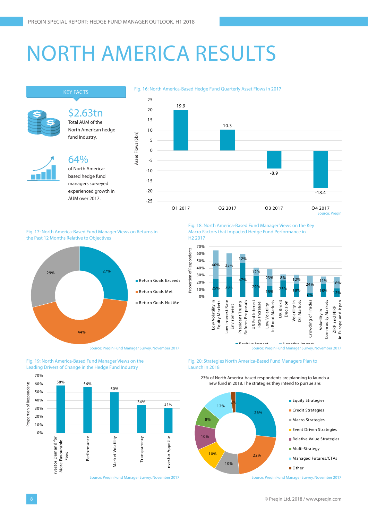### NORTH AMERICA RESULTS



Fig. 17: North America-Based Fund Manager Views on Returns in the Past 12 Months Relative to Objectives



Source: Preqin Fund Manager Survey, November 2017

Fig. 18: North America-Based Fund Manager Views on the Key Macro Factors that Impacted Hedge Fund Performance in H2 2017



Fig. 20: Strategies North America-Based Fund Managers Plan to Launch in 2018



Fig. 19: North America-Based Fund Manager Views on the

23% of North America-based respondents are planning to launch a new fund in 2018. The strategies they intend to pursue are:



Source: Preqin Fund Manager Survey, November 2017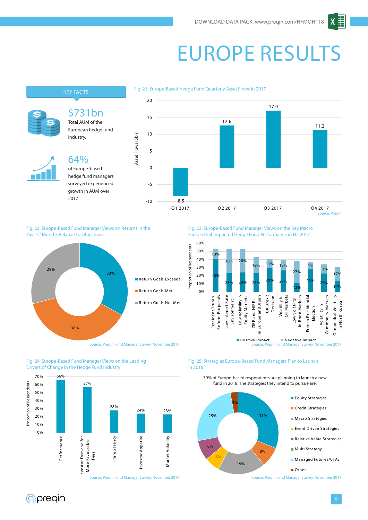## EUROPE RESULTS

#### Fig. 21: Europe-Based Hedge Fund Quarterly Asset Flows in 2017



Fig. 22: Europe-Based Fund Manager Views on Returns in the Past 12 Months Relative to Objectives



Fig. 24: Europe-Based Fund Manager Views on the Leading Drivers of Change in the Hedge Fund Industry



Fig. 23: Europe-Based Fund Manager Views on the Key Macro Factors that Impacted Hedge Fund Performance in H2 2017



Fig. 25: Strategies Europe-Based Fund Managers Plan to Launch in 2018



39% of Europe-based respondents are planning to launch a new fund in 2018. The strategies they intend to pursue are:

*<u>Apregin</u>*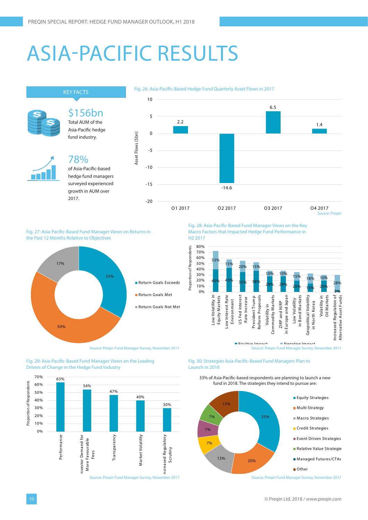### ASIA-PACIFIC RESULTS



Fig. 27: Asia-Pacific-Based Fund Manager Views on Returns in the Past 12 Months Relative to Objectives



Source: Preqin Fund Manager Survey, November 2017

Fig. 29: Asia-Pacific-Based Fund Manager Views on the Leading Drivers of Change in the Hedge Fund Industry



Macro Factors that Impacted Hedge Fund Performance in H2 2017



#### Fig. 30: Strategies Asia-Pacific-Based Fund Managers Plan to Launch in 2018



33% of Asia-Pacific-based respondents are planning to launch a new fund in 2018. The strategies they intend to pursue are:

Source: Preqin Fund Manager Survey, November 2017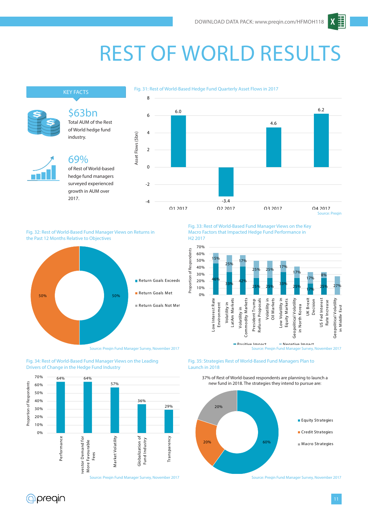### REST OF WORLD RESULTS



Fig. 32: Rest of World-Based Fund Manager Views on Returns in the Past 12 Months Relative to Objectives



Fig. 34: Rest of World-Based Fund Manager Views on the Leading Drivers of Change in the Hedge Fund Industry



Fig. 33: Rest of World-Based Fund Manager Views on the Key Macro Factors that Impacted Hedge Fund Performance in H2 2017



Fig. 35: Strategies Rest of World-Based Fund Managers Plan to Launch in 2018





Source: Pregin